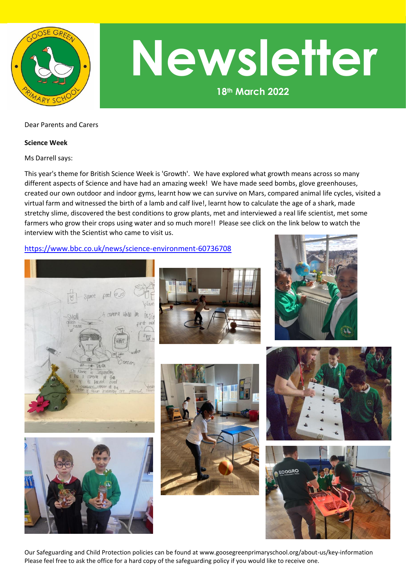

# **18th March 2022 Newsletter**

### Dear Parents and Carers

#### **Science Week**

Ms Darrell says:

This year's theme for British Science Week is 'Growth'. We have explored what growth means across so many different aspects of Science and have had an amazing week! We have made seed bombs, glove greenhouses, created our own outdoor and indoor gyms, learnt how we can survive on Mars, compared animal life cycles, visited a virtual farm and witnessed the birth of a lamb and calf live!, learnt how to calculate the age of a shark, made stretchy slime, discovered the best conditions to grow plants, met and interviewed a real life scientist, met some farmers who grow their crops using water and so much more!! Please see click on the link below to watch the interview with the Scientist who came to visit us.

## <https://www.bbc.co.uk/news/science-environment-60736708>















Our Safeguarding and Child Protection policies can be found at www.goosegreenprimaryschool.org/about-us/key-information Please feel free to ask the office for a hard copy of the safeguarding policy if you would like to receive one.